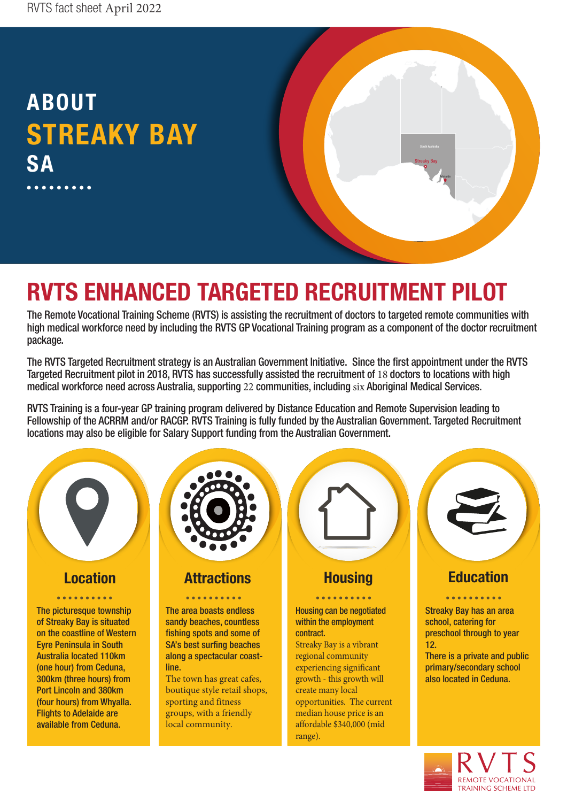## ABOUT STREAKY BAY SA

## RVTS ENHANCED TARGETED RECRUITMENT PILOT

The Remote Vocational Training Scheme (RVTS) is assisting the recruitment of doctors to targeted remote communities with high medical workforce need by including the RVTS GP Vocational Training program as a component of the doctor recruitment package.

Streaky Bay

Adelaide

The RVTS Targeted Recruitment strategy is an Australian Government Initiative. Since the first appointment under the RVTS Targeted Recruitment pilot in 2018, RVTS has successfully assisted the recruitment of 18 doctors to locations with high medical workforce need across Australia, supporting 22 communities, including six Aboriginal Medical Services.

RVTS Training is a four-year GP training program delivered by Distance Education and Remote Supervision leading to Fellowship of the ACRRM and/or RACGP. RVTS Training is fully funded by the Australian Government. Targeted Recruitment locations may also be eligible for Salary Support funding from the Australian Government.